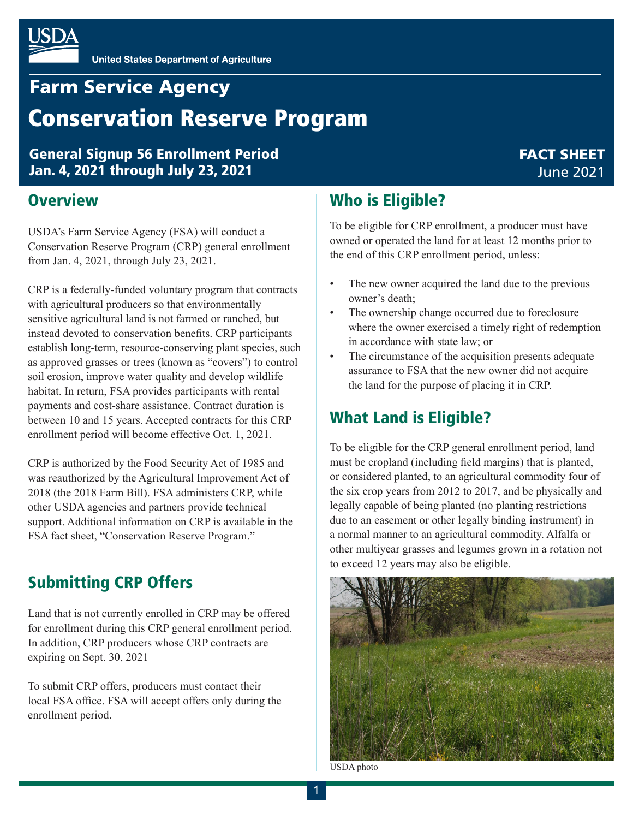

# **Farm Service Agency** Conservation Reserve Program

General Signup 56 Enrollment Period Jan. 4, 2021 through July 23, 2021

#### **Overview**

USDA's Farm Service Agency (FSA) will conduct a Conservation Reserve Program (CRP) general enrollment from Jan. 4, 2021, through July 23, 2021.

CRP is a federally-funded voluntary program that contracts with agricultural producers so that environmentally sensitive agricultural land is not farmed or ranched, but instead devoted to conservation benefits. CRP participants establish long-term, resource-conserving plant species, such as approved grasses or trees (known as "covers") to control soil erosion, improve water quality and develop wildlife habitat. In return, FSA provides participants with rental payments and cost-share assistance. Contract duration is between 10 and 15 years. Accepted contracts for this CRP enrollment period will become effective Oct. 1, 2021.

CRP is authorized by the Food Security Act of 1985 and was reauthorized by the Agricultural Improvement Act of 2018 (the 2018 Farm Bill). FSA administers CRP, while other USDA agencies and partners provide technical support. Additional information on CRP is available in the FSA fact sheet, "Conservation Reserve Program."

# Submitting CRP Offers

Land that is not currently enrolled in CRP may be offered for enrollment during this CRP general enrollment period. In addition, CRP producers whose CRP contracts are expiring on Sept. 30, 2021

To submit CRP offers, producers must contact their local FSA office. FSA will accept offers only during the enrollment period.

# Who is Eligible?

To be eligible for CRP enrollment, a producer must have owned or operated the land for at least 12 months prior to the end of this CRP enrollment period, unless:

FACT SHEET June 2021

- The new owner acquired the land due to the previous owner's death;
- The ownership change occurred due to foreclosure where the owner exercised a timely right of redemption in accordance with state law; or
- The circumstance of the acquisition presents adequate assurance to FSA that the new owner did not acquire the land for the purpose of placing it in CRP.

# What Land is Eligible?

To be eligible for the CRP general enrollment period, land must be cropland (including field margins) that is planted, or considered planted, to an agricultural commodity four of the six crop years from 2012 to 2017, and be physically and legally capable of being planted (no planting restrictions due to an easement or other legally binding instrument) in a normal manner to an agricultural commodity. Alfalfa or other multiyear grasses and legumes grown in a rotation not to exceed 12 years may also be eligible.



USDA photo